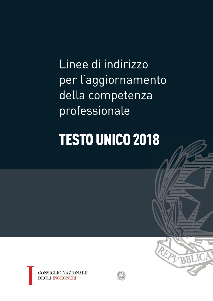Linee di indirizzo per l'aggiornamento della competenza professionale

# **TESTO UNICO 2018**





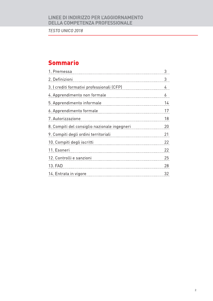TESTO UNICO 2018

# **Sommario**

| 1. Premessa                                  | 3  |
|----------------------------------------------|----|
| 2. Definizioni                               | 3  |
| 3. I crediti formativi professionali (CFP)   | 4  |
| 4. Apprendimento non formale                 | 6  |
| 5. Apprendimento informale                   | 14 |
| 6. Apprendimento formale                     | 17 |
| 7. Autorizzazione                            | 18 |
| 8. Compiti del consiglio nazionale ingegneri | 20 |
| 9. Compiti degli ordini territoriali         | 21 |
| 10. Compiti degli iscritti                   | 22 |
| 11. Esoneri                                  | 22 |
| 12. Controlli e sanzioni                     | 25 |
| 13. FAD                                      | 28 |
| 14. Entrata in vigore                        | 32 |
|                                              |    |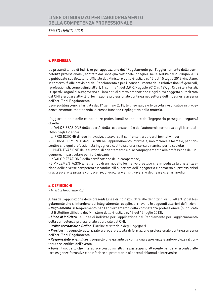**TESTO UNICO 2018** 

### **1. PREMESSA**

Le presenti Linee di Indirizzo per applicazione del "Regolamento per l'aggiornamento della competenza professionale", adottato dal Consiglio Nazionale Ingegneri nella seduta del 21 giugno 2013 e pubblicato sul Bollettino Ufficiale del Ministero della Giustizia n. 13 del 15 luglio 2013 vincolano, in conformità alle previsioni del Regolamento e per il conseguimento delle relative finalità generali, i professionisti, come definiti all'art. 1, comma 1, del D.P.R. 7 agosto 2012, n. 137, gli Ordini territoriali, i rispettivi organi di autogoverno e i loro enti di diretta emanazione e ogni altro soggetto autorizzato dal CNI a erogare attività di formazione professionale continua nel settore dell'Ingegneria ai sensi dell'art. 7 del Regolamento.

Esse sostituiscono, a far data dal 1º gennaio 2018, le linee quida e le circolari esplicative in precedenza emanate, mantenendo la stessa funzione riepilogativa della materia.

L'aggiornamento delle competenze professionali nel settore dell'Ingegneria persegue i seguenti obiettivi:

- la VALORIZZAZIONE della libertà, della responsabilità e dell'autonomia formativa degli iscritti all'Albo degli Ingegneri;

- la PROMOZIONE di idee innovative, attraverso il confronto tra percorsi formativi liberi;

- il COINVOLGIMENTO degli iscritti nell'apprendimento informale, non formale e formale, per consentire che ogni professionista ingegnere costituisca una risorsa dinamica per la società;

- l'INCENTIVAZIONE delle funzioni di orientamento e di accompagnamento alla professione dell'ingegnere, in particolare per i più giovani;

- la VALORIZZAZIONE della certificazione delle competenze;

- l'IMPLEMENTAZIONE nel tempo di un modello formativo proattivo che impedisca la cristallizzazione delle diverse competenze riconducibili al settore dell'ingegneria e permetta ai professionisti di accrescere le proprie conoscenze, di esplorare ambiti diversi e delineare scenari inediti.

#### 2. DEFINIZIONI

### (cfr. art. 2 Regolamento)

Ai fini dell'applicazione delle presenti Linee di indirizzo, oltre alle definizioni di cui all'art. 2 del Regolamento che si intendono qui integralmente recepite, si rilevano le sequenti ulteriori definizioni: - Regolamento: il Regolamento per l'aggiornamento della competenza professionale (pubblicato

nel Bollettino Ufficiale del Ministero della Giustizia n. 13 del 15 luglio 2013).

- Linee di indirizzo: le Linee di indirizzo per l'applicazione del Regolamento per l'aggiornamento della competenza professionale approvate dal CNI.

- Ordine territoriale o Ordine: l'Ordine territoriale degli ingegneri.

- Provider: il soggetto autorizzato a erogare attività di formazione professionale continua ai sensi dell'art. 7 del Regolamento.

- Responsabile scientifico: il soggetto che garantisce con la sua esperienza e autorevolezza il contenuto scientifico dell'evento.

- Tutor: il soggetto che interagisce con gli iscritti che partecipano all'evento per dare riscontro alle loro esigenze formative e ne riferisce ai promotori e ai docenti chiamati a intervenire.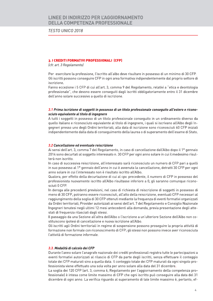### **TESTO UNICO 2018**

#### 3. I CREDITI FORMATIVI PROFESSIONALI (CFP)

(cfr. art. 3 Regolamento)

Per esercitare la professione, l'iscritto all'albo deve risultare in possesso di un minimo di 30 CFP. Gli iscritti possono conseguire CFP in ogni area formativa indipendentemente dal proprio settore di iscrizione.

Fanno eccezione i 5 CFP di cui all'art. 3, comma 9 del Regolamento, relativi a "etica e deontologia professionale", che devono essere conseguiti dagli iscritti obbligatoriamente entro il 31 dicembre dell'anno solare successivo a quello di iscrizione.

### 3.1 Prima iscrizione di soggetti in possesso di un titolo professionale conseguito all'estero e riconosciuto equivalente al titolo di ingegnere

A tutti i soggetti in possesso di un titolo professionale conseguito in un ordinamento diverso da quello italiano e riconosciuto equivalente al titolo di ingegnere, i quali si iscrivano all'Albo degli Ingegneri presso uno degli Ordini territoriali, alla data di iscrizione sono riconosciuti 60 CFP iniziali indipendentemente dalla data di conseguimento della laurea o di superamento dell'esame di Stato.

#### 3.2 Cancellazione ed eventuale reiscrizione

Ai sensi dell'art. 3, comma 7 del Regolamento, in caso di cancellazione dall'Albo dopo il 1º gennaio 2014 sono decurtati al soggetto interessato n. 30 CFP per ogni anno solare in cui il medesimo risulterà non iscritto.

In caso di successiva reiscrizione, all'interessato sarà riconosciuto un numero di CFP pari a quelli in suo possesso al 1º gennaio dell'anno in cui è avvenuta la cancellazione, detratti 30 CFP per ogni anno solare in cui l'interessato non è risultato iscritto all'Albo.

Qualora, per effetto della decurtazione di cui al cpv. precedente, il numero di CFP in possesso del professionista nuovamente iscritto all'Albo risultasse inferiore a 0, gli saranno comunque riconosciuti 0 CFP.

In deroga alle precedenti previsioni, nel caso di richiesta di reiscrizione di soggetti in possesso di meno di 30 CFP, potranno essere riconosciuti, all'atto della reiscrizione, eventuali CFP necessari al raggiungimento della soglia di 30 CFP ottenuti mediante la freguenza di eventi formativi organizzati da Ordini territoriali, Provider autorizzati ai sensi dell'art. 7 del Regolamento e Consiglio Nazionale Ingegneri tenutesi negli ultimi 12 mesi antecedenti alla domanda, previa presentazione degli attestati di frequenza rilasciati dagli stessi.

Il passaggio da una Sezione all'altra dell'Albo o l'iscrizione a un'ulteriore Sezione dell'Albo non costituiscono ipotesi di cancellazione e nuova iscrizione all'Albo.

Gli iscritti agli Ordini territoriali in regime di sospensione possono proseguire la propria attività di formazione non formale con riconoscimento di CFP; gli stessi non possono invece aver riconosciuta l'attività di formazione informale.

#### 3.3. Modalità di calcolo dei CFP

Durante l'anno solare l'anagrafe nazionale dei crediti professionali registra tutte le partecipazioni a eventi formativi autorizzati al rilascio di CFP da parte degli iscritti, senza effettuare il conteggio totale dei CFP maturati sino a quella data. Il conteggio totale dei CFP maturati da ogni singolo professionista viene effettuato una sola volta per anno solare alla data del 31 dicembre.

La soglia dei 120 CFP (art. 3, comma 6, Regolamento per l'aggiornamento della competenza professionale) è intesa come limite massimo di CFP che ogni iscritto può conseguire alla data del 31 dicembre di ogni anno. La verifica riguardo al superamento di tale limite massimo è, pertanto, ef-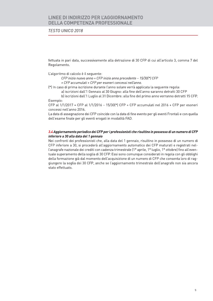### **TESTO UNICO 2018**

fettuata in pari data, successivamente alla detrazione di 30 CFP di cui all'articolo 3, comma 7 del Regolamento.

L'algoritmo di calcolo è il seguente:

CFP inizio nuovo anno = CFP inizio anno precedente - 15/30(\*) CFP + CFP accumulati + CFP per esoneri concessi nell'anno.

(\*) In caso di prima iscrizione durante l'anno solare verrà applicata la sequente regola:

a) iscrizioni dall'1 Gennaio al 30 Giugno: alla fine dell'anno saranno detratti 30 CFP

b) iscrizioni dall'1 Luglio al 31 Dicembre: alla fine del primo anno verranno detratti 15 CFP. Esempio:

CFP al  $1/1/2017$  = CFP al  $1/1/2016$  –  $15/30(*)$  CFP + CFP accumulati nel 2016 + CFP per esoneri concessi nell'anno 2016.

La data di assegnazione dei CFP coincide con la data di fine evento per gli eventi Frontali e con quella dell'esame finale per gli eventi erogati in modalità FAD.

### 3.4 Aggiornamento periodico dei CFP per i professionisti che risultino in possesso di un numero di CFP inferiore a 30 alla data del 1 gennaio

Nei confronti dei professionisti che, alla data del 1 gennaio, risultino in possesso di un numero di CFP inferiore a 30, si procederà all'aggiornamento automatico dei CFP maturati e registrati nell'anagrafe nazionale dei crediti con cadenza trimestrale (1º aprile, 1º luglio, 1º ottobre) fino all'eventuale superamento della soglia di 30 CFP. Essi sono comunque considerati in regola con gli obblighi della formazione già dal momento dell'acquisizione di un numero di CFP che consenta loro di raggiungere la soglia dei 30 CFP, anche se l'aggiornamento trimestrale dell'anagrafe non sia ancora stato effettuato.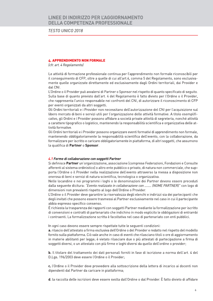**TESTO UNICO 2018** 

### **4. APPRENDIMENTO NON FORMALE**

(cfr. art. 4 Regolamento)

Le attività di formazione professionale continua per l'apprendimento non formale riconoscibili per il conseguimento di CFP, oltre a quelle di cui all'art.4, comma 5 del Regolamento, sono esclusivamente quelle organizzate direttamente ed esclusivamente dagli Ordini territoriali, dai Provider e dal CNI.

L'Ordine o il Provider può avvalersi di Partner o Sponsor nel rispetto di quanto specificato di seguito. Sulla base di quanto previsto dall'art. 4 del Regolamento è fatto divieto per l'Ordine o il Provider, che rappresenta l'unico responsabile nei confronti del CNI, di autorizzare il riconoscimento di CFP per eventi organizzati da altri soggetti.

Gli Ordini territoriali e i Provider non necessitano dell'autorizzazione del CNI per l'acquisizione sul libero mercato di beni e servizi utili per l'organizzazione delle attività formative. A titolo esemplificativo, gli Ordini e i Provider possono affidare a società private attività di segreteria, nonché attività a carattere tipografico o logistico, mantenendo la responsabilità scientifica e organizzativa delle attività formative.

Gli Ordini territoriali e i Provider possono organizzare eventi formativi di apprendimento non formale, mantenendo obbligatoriamente la responsabilità scientifica dell'evento, con la collaborazione, da formalizzare per iscritto e caricare obbligatoriamente in piattaforma, di altri soggetti, che assumono la qualifica di Partner o Sponsor.

#### 4.1 Forme di collaborazione con soggetti Partner

Si definisce Partner un'organizzazione, associazione (comprese Federazioni, Fondazioni e Consulte afferenti al sistema ordinistico) o altro ente pubblico o privato, di natura non commerciale, che supporta l'Ordine o il Provider nella realizzazione dell'evento attraverso la messa a disposizione non onerosa di beni e servizi di natura scientifica, tecnologica o organizzativa.

Nelle locandine e nei programmi i loghi o le denominazioni dei Partner devono essere preceduti dalla seguente dicitura: "Evento realizzato in collaborazione con ........ (NOME PARTNER)" con logo di dimensioni non prevalenti rispetto al logo dell'Ordine o Provider.

L'Ordine o il Provider deve garantire la riservatezza degli elenchi e indirizzi sia dei partecipanti che degli invitati che possono essere trasmessi al Partner esclusivamente nel caso in cui il partecipante abbia espresso specifico consenso.

È richiesta la trasparenza dei rapporti con soggetti Partner mediante la formalizzazione per iscritto di convenzioni e contratti di partenariato che indichino in modo esplicito le obbligazioni di entrambi i contraenti. La formalizzazione scritta è facoltativa nel caso di partenariato con enti pubblici.

In ogni caso devono essere sempre rispettate tutte le sequenti condizioni:

a. rilascio dell'attestato a firma esclusiva dell'Ordine o del Provider e redatto nel rispetto del modello fornito sulla piattaforma. Ciò vale anche in caso di eventi che rilasciano titoli o ore di aggiornamento in materie abilitanti per legge; è vietato rilasciare due o più attestati di partecipazione a firma di soggetti diversi, o un attestato con più firme e loghi diversi da quello dell'ordine o provider;

b. Il titolare del trattamento dei dati personali forniti in fase di iscrizione a norma dell'art. 4 del D.Lgs. 196/2003 deve essere l'Ordine o il Provider;

c. l'Ordine o il Provider deve provvedere alla sottoscrizione della lettera di incarico ai docenti non dipendenti dal Partner da caricare in piattaforma;

d. la raccolta delle iscrizioni deve essere svolta dall'Ordine o dal Provider. È fatto divieto di affidare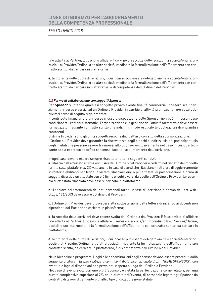**TESTO UNICO 2018** 

tale attività al Partner. È possibile affidare il servizio di raccolta delle iscrizioni a società/enti riconducibili al Provider/Ordine, o ad altre società, mediante la formalizzazione dell'affidamento con contratto scritto, da caricare in piattaforma;

e. la titolarità delle quote di iscrizioni, il cui incasso può essere delegato anche a società/enti riconducibili al Provider/Ordine, o ad altre società, mediante la formalizzazione dell'affidamento con contratto scritto, da caricare in piattaforma, è di competenza dell'Ordine o del Provider.

#### 4.2 Forme di collaborazione con soggetti Sponsor

Per Sponsor si intende qualsiasi soggetto privato avente finalità commerciali che fornisce finanziamenti, risorse o servizi ad un Ordine o Provider in cambio di attività promozionali e/o spazi pubblicitari come di seguito regolamentati.

Il contributo finanziario o di risorse messo a disposizione dello Sponsor non può in nessun caso condizionare i contenuti formativi, l'organizzazione e la gestione dell'attività formativa e deve essere formalizzato mediante contratto scritto che indichi in modo esplicito le obbligazioni di entrambi i contraenti.

Ordini e Provider sono gli unici soggetti responsabili dell'uso corretto della sponsorizzazione. L'Ordine o il Provider deve garantire la riservatezza degli elenchi e indirizzi sia dei partecipanti sia degli invitati che possono essere trasmessi allo Sponsor esclusivamente nel caso in cui il partecipante abbia espresso specifico consenso, facoltativo al momento dell'iscrizione.

In ogni caso devono essere sempre rispettate tutte le seguenti condizioni:

a. rilascio dell'attestato a firma esclusiva dell'Ordine o del Provider e redatto nel rispetto del modello fornito sulla piattaforma. Ciò vale anche in caso di eventi che rilasciano titoli o ore di aggiornamento in materie abilitanti per legge; è vietato rilasciare due o più attestati di partecipazione a firma di soggetti diversi, o un attestato con più firme e loghi diversi da quello dell'Ordine o Provider. Un esempio di attestato rilasciato deve essere caricato in piattaforma;

b. il titolare del trattamento dei dati personali forniti in fase di iscrizione a norma dell'art. 4 del D.Lgs. 196/2003 deve essere l'Ordine o il Provider:

c. l'Ordine o il Provider deve provvedere alla sottoscrizione della lettera di incarico ai docenti non dipendenti dal Partner da caricare in piattaforma;

d. la raccolta delle iscrizioni deve essere svolta dall'Ordine o dal Provider. È fatto divieto di affidare tale attività al Partner. È possibile affidare il servizio a società/enti riconducibili al Provider/Ordine, o ad altre società, mediante la formalizzazione dell'affidamento con contratto scritto, da caricare in piattaforma;

e. la titolarità delle quote di iscrizioni, il cui incasso può essere delegato anche a società/enti riconducibili al Provider/Ordine, o ad altre società, mediante la formalizzazione dell'affidamento con contratto scritto, da caricare in piattaforma, è di competenza dell'Ordine o del Provider.

Nelle locandine e programmi i loghi o le denominazioni degli sponsor devono essere preceduti dalla sequente dicitura: "Evento realizzato con il contributo incondizionato di ..... (NOME SPONSOR)", con eventuale logo di dimensioni non prevalenti rispetto al logo dell'Ordine o Provider.

Nel caso di eventi svolti con uno o più Sponsor, è vietata la partecipazione come relatori, per una durata complessiva superiore ai 2/3 della durata dell'evento, di personale legato agli Sponsor da contratto di lavoro dipendente o di altro tipo di collaborazione stabile.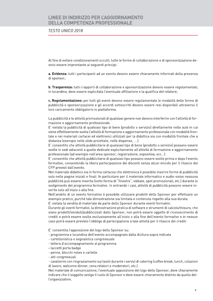**TESTO UNICO 2018** 

Al fine di evitare condizionamenti occulti, tutte le forme di collaborazione e di sponsorizzazione devono essere improntante ai sequenti principi:

a. Evidenza: tutti i partecipanti ad un evento devono essere chiaramente informati della presenza di sponsor;

**b. Trasparenza:** tutti i rapporti di collaborazione e sponsorizzazione devono essere regolamentati; in locandina, deve essere esplicitata l'eventuale affiliazione e la qualifica del relatore;

c. Regolamentazione: per tutti gli eventi devono essere regolamentate le modalità delle forme di pubblicità e sponsorizzazione e gli accordi sottoscritti devono essere resi disponibili attraverso il loro caricamento obbligatorio in piattaforma.

La pubblicità e le attività promozionali di qualsiasi genere non devono interferire con l'attività di formazione e aggiornamento professionale.

E' vietata la pubblicità di qualsiasi tipo di bene (prodotto o servizio) direttamente nelle aule in cui viene effettivamente svolta l'attività di formazione e aggiornamento professionale con modalità frontale e nei materiali cartacei ed elettronici utilizzati per la didattica sia con modalità frontale che a distanza (esempio nelle slide proiettate, nelle dispense, ....).

E' consentito che attività pubblicitarie di qualsiasi tipo di bene (prodotto o servizio) possano essere svolte in sedi adiacenti a quelle dedicate esplicitamente all'attività di formazione e aggiornamento professionale (ad esempio nell'area sponsor, registrazione, espositiva, ecc...).

E' consentito che attività pubblicitarie di qualsiasi tipo possano essere svolte prima e dopo l'evento formativo, consentendo la libera partecipazione dei discenti senza alcun vincolo per il rilascio dei CFP previsti dall'evento.

Nel materiale didattico sia in forma cartacea che elettronica è possibile inserire forme di pubblicità solo nelle pagine iniziali e finali. In particolare per il materiale informatico e audio-visivo nessuna pubblicità può essere inserita (sotto forma di "finestre", videate, spot promozionali, etc.) durante lo svolgimento del programma formativo. In entrambi i casi, attività di pubblicità possono essere inserite solo all'inizio o alla fine.

Nell'ambito di un evento formativo è possibile utilizzare prodotti dello Sponsor per effettuare un esempio pratico, purché tale dimostrazione sia limitata e contenuta rispetto alla sua durata.

E' vietata la vendita di materiale da parte dello Sponsor durante eventi formativi.

Durante gli eventi formativi, la dimostrazione pratica di software e strumenti di calcolo/misura, che siano prodotti/venduti/pubblicizzati dallo Sponsor, non potrà essere oggetto di riconoscimento di crediti e potrà essere svolta esclusivamente all'inizio o alla fine dell'evento formativo e in nessun caso potrà essere previsto l'obbligo di partecipazione a tale attività per il rilascio dei crediti.

E' consentita l'apposizione del logo dello Sponsor su:

- programma e locandina dell'evento accompagnato dalla dicitura sopra indicata
- cartellonistica e segnaletica congressuale
- lettera d'accompagnamento al programma
- laccetti porta badge
- penne, blocchi notes e cartelle
- atti congressuali

- cavalierini con ringraziamento sui tavoli durante i servizi di catering (coffee break, lunch, colazioni di lavoro, welcome dinner, cena relatori e moderatori, etc.).

Nel materiale di comunicazione, l'eventuale apposizione del logo dello Sponsor, deve chiaramente indicare che il soggetto svolge il ruolo di Sponsor e deve essere chiaramente distinto da quello dell'organizzatore.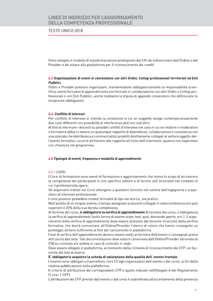### **TESTO UNICO 2018**

Viene allegato il modello di autodichiarazione predisposto dal CNI da sottoscrivere dall'Ordine o dal Provider e da inviare alla piattaforma per il riconoscimento dei crediti.

### 4.3 Organizzazione di eventi in convenzione con altri Ordini, Collegi professionali territoriali ed Enti Pubblici.

Ordini e Provider possono organizzare, mantenendone obbligatoriamente la responsabilità scientifica, eventi formativi di apprendimento non formale in collaborazione con altri Ordini o Collegi professionali o con Enti Pubblici, anche mediante la stipula di apposite convenzioni che definiscano le reciproche obbligazioni.

### 4.4. Conflitto di interessi

Per conflitto di interessi si intende la condizione in cui un soggetto svolge contemporaneamente due ruoli differenti con possibilità di interferenza dell'uno sull'altro.

Al fine di informare i discenti su possibili conflitti d'interesse nel caso in cui un relatore o moderatore o formatore abbia in essere un qualunque rapporto di dipendenza, collaborazione o consulenza con una azienda che distribuisca e commercializzi prodotti direttamente collegati al settore oggetto dell'evento formativo, occorre dichiarare tale rapporto all'inizio dell'intervento, qualora non esplicitato con chiarezza nel programma.

#### 4.5 Tipologie di eventi, freguenza e modalità di apprendimento

#### 4.5.1 CORSI

I Corsi di formazione sono eventi di formazione e aggiornamento che hanno lo scopo di accrescere le competenze dei partecipanti in uno specifico settore e di fornire utili strumenti nel contesto in cui il professionista opera.

Gli argomenti trattati nei Corsi attengono a questioni tecniche nel settore dell'ingegneria o a questioni di interesse professionale.

I corsi possono prevedere moduli formativi di tipo sia teorico, sia pratico.

Nell'ambito di un singolo evento, il tempo assegnato ai docenti collegati in videoconferenza non può superare il 20% della sua durata complessiva.

Al termine del corso, è obbligatoria la verifica di apprendimento Al termine del corso, è obbligatoria la verifica di apprendimento (sotto forma di esame orale, test, quiz, domande aperte, ecc.). Il superamento della verifica di apprendimento deve essere attestato dal docente incaricato della verifica formativa, che dovrà comunicare all'Ordine/Provider l'elenco di coloro che hanno conseguito un punteggio almeno sufficiente al fine del caricamento in piattaforma.

I test di verifica dell'apprendimento devono essere svolti al termine dell'evento e consegnati prima dell'uscita dall'aula. Tale documentazione deve essere conservata dall'Ordine/Provider ed inviata al CNI su richiesta e/o esibita in caso di controllo in sede.

Deve essere allegato in piattaforma, al momento della richiesta di riconoscimento dei CFP, un facsimile del test di esame.

### E' obbligatorio acquisire la scheda di valutazione della qualità dell'evento frontale.

I relatori sono obbligati a trasmettere i loro CV agli organizzatori dell'evento o del corso, ai fini della relativa pubblicazione sulla piattaforma.

Il criterio di attribuzione dei corrispondenti CFP è quello indicato nell'Allegato A del Regolamento (1 ora= 1 CFP).

L'attribuzione dei CFP previsti dall'evento o dal corso è subordinata all'accertamento della presenza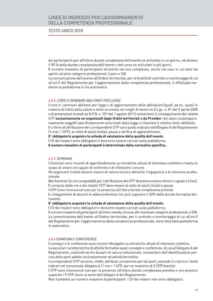### **TESTO UNICO 2018**

dei partecipanti pari all'intera durata complessiva dell'evento se articolato in un giorno, ad almeno il 90 % della durata complessiva dell'evento o del corso se articolato in più giorni.

Il numero massimo di partecipanti all'evento nel suo complesso, anche nel caso in cui esso sia aperto ad altre categorie professionali, è pari a 100.

La comunicazione dell'evento all'Ordine territoriale, per le finalità di controllo e monitoraggio di cui all'art.9 del Regolamento per l'aggiornamento della competenza professionale, è effettuata mediante la piattaforma in via automatica.

#### 4.5.2 CORSI O SEMINARI ARII ITANTI PER LEGGE

I corsi e i seminari abilitanti per legge o di aggiornamento delle abilitazioni (quali, ad es., quelli in materia di tutela della salute e della sicurezza nei luoghi di lavoro ex D.Lgs. n. 81 del 9 aprile 2008 e di prevenzioni incendi ex D.P.R. n. 151 del 1 agosto 2011) consentono il conseguimento dei relativi CFP esclusivamente se organizzati dagli Ordini territoriali o da Provider che siano contemporaneamente soggetti specificatamente autorizzati dalla legge a rilasciare il relativo titolo abilitante. Il criterio di attribuzione dei corrispondenti CFP sarà quello indicato nell'Allegato A del Regolamento (1 ora= 1 CFP), al netto di saluti iniziali, pause e verifica di apprendimento.

#### E' obbligatorio acquisire la scheda di valutazione della qualità dell'evento.

I CV dei relatori sono obbligatori e dovranno essere caricati sulla piattaforma.

Il numero massimo di partecipanti è determinato dalla normativa specifica.

#### 4.5.3. SEMINARI

I Seminari sono incontri di approfondimento su tematiche attuali di interesse collettivo e hanno lo scopo di creare uno spazio di confronto e di riflessione comune.

Gli argomenti trattati devono essere di natura tecnica attinente l'ingegneria o di interesse professionale.

Nei Seminari le ore computabili per l'attribuzione dei CFP dovranno essere minori o uguali a 6 (sei). Il computo delle ore e dei relativi CFP deve essere al netto di saluti iniziali e pause.

I CFP sono riconosciuti solo per la presenza all'intera durata complessiva prevista.

Il collegamento di docenti in videoconferenza non può superare il 20% della durata formativa dell'evento.

#### E' obbligatorio acquisire la scheda di valutazione della qualità dell'evento.

I CV dei relatori sono obbligatori e dovranno essere caricati sulla piattaforma.

Il numero massimo di partecipanti all'intero evento, incluse altri eventuali categorie professionali, è 200. La comunicazione dell'evento all'Ordine territoriale, per il controllo e monitoraggio di cui all'art.9 del Regolamento per l'aggiornamento della competenza professionale, viene fatta dalla piattaforma in automatico.

#### 4.5.4 CONVEGNI E CONFERENZE

I convegni e le conferenze sono incontri divulgativi su tematiche attuali di interesse collettivo. Le peculiari caratteristiche di attività formative quali convegni e conferenze, di cui all'Allegato A del Regolamento, costituite anche da parti di natura istituzionale, necessitano dell'identificazione precisa delle parti adibite esclusivamente ad attività formativa.

I corrispondenti CFP saranno, infatti, attribuiti unicamente per tali parti, secondo il criterio e i limiti indicati nel menzionato Allegato A (1 ora = 1 CFP, per un massimo di 3 CFP/evento).

I CFP sono riconosciuti solo per la presenza all'intera durata complessiva prevista e non possono superare i 9 CFP / anno ai sensi dell'allegato A del Regolamento.

Non è previsto un numero massimo di partecipanti. I CV dei relatori non sono obbligatori.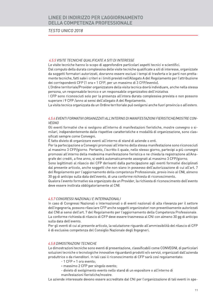### **TESTO UNICO 2018**

#### 4.5.5 VISITE TECNICHE QUALIFICATE A SITI DI INTERESSE

Le visite tecniche hanno lo scopo di approfondire particolari aspetti tecnici e scientifici.

Dal computo della durata complessiva delle visite tecniche qualificate a siti di interesse, organizzate da soggetti formatori autorizzati, dovranno essere esclusi i tempi di trasferta e le parti non prettamente tecniche, fatti salvi i criteri e i limiti previsti nell'Allegato A del Regolamento per l'attribuzione dei corrispondenti CFP (1 ora = 1 CFP, per un massimo di 3 CFP/evento).

L'Ordine territoriale/Provider organizzatore della visita tecnica dovrà individuare, anche nella stessa persona, un responsabile tecnico e un responsabile organizzativo dell'iniziativa.

I CFP sono riconosciuti solo per la presenza all'intera durata complessiva prevista e non possono superare i 9 CFP /anno ai sensi dell'allegato A del Regolamento.

La visita tecnica organizzata da un Ordine territoriale può svolgersi anche fuori provincia o all'estero.

### 4.5.6 EVENTI FORMATIVI ORGANIZZATI ALL'INTERNO DI MANIFESTAZIONI FIERISTICHE/MOSTRE CON-**VEGNO**

Gli eventi formativi che si svolgono all'interno di manifestazioni fieristiche, mostre convegno o similari, indipendentemente dalle rispettive caratteristiche e modalità di organizzazione, sono classificati sempre come Convegni.

È fatto divieto di organizzare eventi all'interno di stand di aziende o enti.

Per la partecipazione a Convegni promossi all'interno della stessa manifestazione sono riconosciuti al massimo 3 CFP/giorno. Pertanto, l'iscritto il quale, nello stesso giorno, partecipi a più convegni promossi all'interno della medesima manifestazione fieristica e ne chieda la registrazione all'Anagrafe dei crediti, a fine anno, si vedrà automaticamente assegnati al massimo 3 CFP/giorno.

Sono legittimati al rilascio dei CFP derivanti dalla partecipazione agli eventi formativi disciplinati dal presente articolo, anche soggetti che non siano in possesso dell'autorizzazione di cui all'art. 7 del Regolamento per l'aggiornamento della competenza Professionale, previo invio al CNI, almeno 30 gg di anticipo sulla data dell'evento, di una conforme richiesta di riconoscimento.

Qualora l'evento formativo sia organizzato da un Provider, la richiesta di riconoscimento dell'evento deve essere inoltrata obbligatoriamente al CNI.

### 4.5.7 CONGRESSI NAZIONALI E INTERNAZIONALI

In caso di Congressi Nazionali o Internazionali o di eventi nazionali di alta rilevanza per il settore dell'ingegneria, possono rilasciare CFP anche soggetti organizzatori non preventivamente autorizzati dal CNI ai sensi dell'art. 7 del Regolamento per l'aggiornamento della Competenza Professionale. La conforme richiesta di rilascio di CFP deve essere trasmessa al CNI con almeno 30 gg di anticipo sulla data dell'evento.

Per gli eventi di cui al presente articolo, la valutazione riguardo all'ammissibilità del rilascio di CFP è di esclusiva competenza del Consiglio Nazionale degli Ingegneri.

#### 4.5.8 DIMOSTRAZIONI TECNICHE

Le dimostrazioni tecniche sono eventi di presentazione, classificabili come CONVEGNI, di particolari soluzioni tecniche o tecnologiche innovative riguardanti prodotti e/o servizi, organizzati dall'azienda produttrice o da rivenditori. In tali casi il riconoscimento di CFP sarà così regolamentato:

- $-1$  CFP = 1 ora evento;
- massimo 2 CFP per singolo evento;
- divieto di svolgimento evento nello stand di un espositore o all'interno di
- manifestazioni fieristiche/mostre.

Le aziende interessate devono essere accreditate dal CNI per l'organizzazione di tali eventi in spe-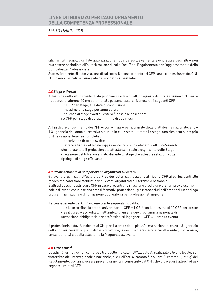### **TESTO UNICO 2018**

cifici ambiti tecnologici. Tale autorizzazione riguarda esclusivamente eventi sopra descritti e non può essere assimilata all'autorizzazione di cui all'art. 7 del Regolamento per l'aggiornamento della Competenza Professionale.

Successivamente all'autorizzazione di cui sopra, il riconoscimento dei CFP sarà a cura esclusiva del CNI. I CFP sono caricati nell'Anagrafe dai soggetti organizzatori.

### 4.6 Stage e tirocini

Al termine dello svolgimento di stage formativi attinenti all'ingegneria di durata minima di 3 mesi e frequenza di almeno 20 ore settimanali, possono essere riconosciuti i sequenti CFP:

- 5 CFP per stage, alla data di conclusione;
- massimo uno stage per anno solare;
- nel caso di stage svolti all'estero è possibile assegnare
- i 5 CFP per stage di durata minima di due mesi.

Ai fini del riconoscimento dei CFP occorre inviare per il tramite della piattaforma nazionale, entro il 31 gennaio dell'anno successivo a quello in cui è stato ultimato lo stage, una richiesta al proprio Ordine di appartenenza completa di:

- descrizione tirocinio svolto:
- lettera a firma del legale rappresentante, o suo delegato, dell'Ente/azienda
- che ha ospitato il professionista attestante il reale svolgimento dello Stage;
- relazione del tutor assegnato durante lo stage che attesti e relazioni sulla tipologia di stage effettuato.

### 4.7 Riconoscimento di CFP per eventi organizzati all'estero

Gli eventi organizzati all'estero da Provider autorizzati possono attribuire CFP ai partecipanti alle medesime condizioni stabilite per gli eventi organizzati sul territorio nazionale. È altresì possibile attribuire CFP in caso di eventi che rilasciano crediti universitari previo esame finale o di eventi che rilasciano crediti formativi professionali già riconosciuti nell'ambito di un analogo

Il riconoscimento dei CFP avviene con le sequenti modalità:

programma nazionale di formazione obbligatoria per professionisti ingegneri.

- se il corso rilascia crediti universitari: 1 CFP = 1 CFU con il massimo di 10 CFP per corso;
- se il corso è accreditato nell'ambito di un analogo programma nazionale di
- formazione obbligatoria per professionisti ingegneri 1 CFP = 1 credito evento.

Il professionista dovrà inoltrare al CNI per il tramite della piattaforma nazionale, entro il 31 gennaio dell'anno successivo a quello di partecipazione, la documentazione relativa all'evento (programma, contenuti, etc.) e quella attestante la frequenza all'evento.

### 4.8 Altre attività

Le attività formative non comprese tra quelle indicate nell'Allegato A, realizzate a livello locale, sovraterritoriale, interregionale e nazionale, di cui all'art. 4, comma 5 e all'art. 8, comma 1, lett. g) del Regolamento, dovranno essere preventivamente riconosciute dal CNI, che provvederà altresì ad assegnare i relativi CFP.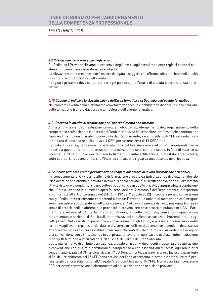### **TESTO UNICO 2018**

### 4.9 Rilevazione delle presenze degli iscritti

Gli Ordini ed i Provider rilevano le presenze degli iscritti agli eventi mediante registri cartacei o sistemi informatici assicurandone la regolarità.

La rilevazione delle presenze potrà essere delegata a soggetti che offrono collaborazione nell'attività di segreteria organizzativa dell'evento.

Il registro presenze deve contenere per ogni partecipante l'orario di entrata e l'orario di uscita effettiva.

#### 4.10 Obbligo di indicare la classificazione dell'area tematica e la tipologia dell'evento formativo

Nel caricare l'evento nella piattaforma www.formazionecni.it è obbligatorio inserire la classificazione delle tematiche trattate dal corso e la tipologia dell'evento formativo.

#### 4.11 Docenza in attività di formazione per l'apprendimento non formale

Agli iscritti, che siano contestualmente soggetti obbligati all'adempimento dell'aggiornamento della competenza professionale e docenti nell'ambito di attività di formazione professionale continua per l'apprendimento non formale, riconosciute dal Regolamento, saranno attribuiti CFP secondo il criterio 1 ora di docenza non ripetitiva = 1 CFP, per un massimo di 15 CFP/anno.

L'attività di docenza, per essere considerata non ripetitiva, deve avere ad oggetto argomenti diversi rispetto a quelli affrontati nel corso del medesimo anno solare; a tale scopo, in fase di incarico al docente, l'Ordine o il Provider richiede la firma di un'autocertificazione in cui il docente dichiari, sotto la propria responsabilità, che l'incarico che accetta riguarda una docenza non ripetitiva.

#### 4.12 Riconoscimento crediti per formazione erogata dal datore di lavoro (formazione aziendale)

Il riconoscimento di CFP per le attività di formazione erogate da Enti o aziende di livello territoriale (cioè aventi sede e ambito di attività a livello di singola provincia) a iscritti che svolgono al loro interno attività di lavoro dipendente, sia nel settore pubblico, sia in quello privato, è ammissibile a condizione che l'Ente o l'azienda in questione operi (ai sensi dell'art. 7 comma 5 del Regolamento, interpretato in conformità all'art. 7, comma 5 del D.P.R. n. 137 del 7 agosto 2012) in cooperazione o convenzione con qli Ordini territorialmente competenti o con un Provider. Le attività di formazione così erogate sono riservate ai soli dipendenti dell'Ente o azienda. Nel caso di aziende di livello nazionale (con presenza di proprie sedi in almeno due province) la convenzione deve essere stipulata con il CNI. Parimenti, è riservata al CNI la facoltà di concludere, a livello nazionale, convenzioni-quadro con rappresentanze nazionali di Enti locali, amministrazioni pubbliche, associazioni imprenditoriali, soggetti privati. Nel caso di cooperazione o convenzione con gli Ordini, è possibile riconoscere crediti formativi agli eventi organizzati dal datore di lavoro con l'utilizzo di docenti non dipendenti della stessa azienda solo nel caso in cui essi abbiano un rapporto contrattuale diretto con l'azienda o sia in vigore una convenzione con l'Ente/azienda in cui prestano lavoro. In ogni caso è esclusa l'intermediazione di soggetti terzi non autorizzati dal CNI ai sensi dell'art. 7 del Regolamento.

Le attività formative di un Ente o un'azienda, erogate ai rispettivi dipendenti in assenza di cooperazione o convenzione con gli Ordini territoriali di competenza o con associazioni di iscritti agli Albi e altri soggetti autorizzati dal CNI ai sensi dell'art. 7 del Regolamento, saranno riconoscibili esclusivamente ai fini dell'ottenimento dei 15 CFP/anno previsti per l'aggiornamento informale legato all'attività professionale dimostrabile, di cui all'Allegato A (autocertificazione 15 CFP). Non è possibile riconoscere CFP per eventi commissionati direttamente ad enti o aziende che non siano provider.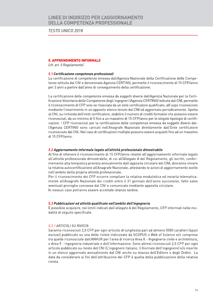TESTO UNICO 2018

### 5. APPRENDIMENTO INFORMA

**5. APPRENDIMENTO INFORMALE**<br> *Cfr. art. 5 Regolamento)*<br> **5.1 Certificazione competenze professionali**<br>
La certificazione di competenze emessa dall'Agenzia Nazionale della Certificazione delle Competenze<br>
interioratione d mediante l'inserimento in un apposito elenco tenuto dal CNI ed aggiornato periodicamente. Spetta al CNI, su richiesta dell'ente certificatore, stabilire il numero di crediti formativi che possono essere riconosciuti, da un minimo di 5 fino a un massimo di 15 CFP/anno per le singole tipologie di certificazioni. I CFP riconosciuti per la certificazione delle competenze emessa da soggetti diversi dall'Agenzia CERTING sono caricati nell'Anagrafe Nazionale direttamente dall'Ente certificatore<br>riconosciuto dal CNI. Nel caso di certificazioni multiple possono essere acquisiti fino ad un massimo riconosciuti, da un minimo di 5 fino a un massimo di 15 CFP/anno per le singole tipologie di certificazioni, I CFP riconosciuti per la eretificazione delle competenze e messa de soggetti diversi della CRI, Nel caso di cert

e Area 9 - Ingegneria industriale e dell'informazione. Sono altresì riconosciuti 2,5 CFP per ogni articolo pubblicato su riviste del CNI (L'Ingegnere Italiano, Il Giornale dell'Ingegnere) e/o inserite in un elenco aggiornato annualmente dal CNI anche su istanza dell'Editore o degli Ordini. La data da considerare ai fini dell'attribuzione dei CFP è quella della pubblicazione della relativa rivista.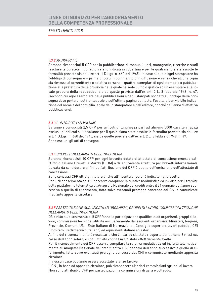### **TESTO UNICO 2018**

#### 5.3.2 MONOGRAFIE

Saranno riconosciuti 5 CFP per la pubblicazione di manuali, libri, monografie, ricerche e studi (escluse le curatele) i cui autori siano indicati in copertina e per le quali siano state assolte le formalità previste sia dall' ex art. 1 D.Lgs. n. 660 del 1945, (in base al quale ogni stampatore ha l'obbligo di consegnare – prima di porli in commercio o in diffusione e senza che alcuna copia sia rimessa al committente o ad altra persona - quattro esemplari di ogni stampato o pubblicazione alla prefettura della provincia nella quale ha sede l'ufficio grafico ed un esemplare alla locale procura della repubblica) sia da quelle previste dall'ex art. 2 L. 8 febbraio 1948, n. 47, (secondo cui ogni esemplare delle pubblicazioni e degli stampati soggetti all'obbligo della consegna deve portare, sul frontespizio o sull'ultima pagina del testo, l'esatta e ben visibile indicazione del nome e del domicilio legale dello stampatore e dell'editore, nonché dell'anno di effettiva pubblicazione).

#### 5.3.3 CONTRIBUTO SU VOLUME.

Saranno riconosciuti 2,5 CFP per articoli di lunghezza pari ad almeno 5000 caratteri (spazi esclusi) pubblicati su un volume per il quale siano state assolte le formalità previste sia dall' ex art. 1 D.Lgs. n. 660 del 1945, sia da quelle previste dall'ex art. 2 L. 8 febbraio 1948, n. 47. Sono esclusi gli atti di convegno.

#### 5.3.4 BREVETTI NELL'AMBITO DELL'INGEGNERIA

Saranno riconosciuti 10 CFP per ogni brevetto dotato di attestato di concessione emesso dall'Ufficio Italiano Brevetti e Marchi (UIBM) o da equivalente struttura per brevetti internazionali. La data da considerare ai fini dell'attribuzione dei CFP è quella dell'emissione dell'attestato di concessione.

Sono concessi CFP oltre al titolare anche all'inventore, purché indicato nel brevetto.

Per il riconoscimento dei CFP occorre compilare la relativa modulistica ed inviarla per il tramite della piattaforma telematica all'Anagrafe Nazionale dei crediti entro il 31 gennaio dell'anno successivo a quello di riferimento, fatto salvo eventuali proroghe concesse dal CNI e comunicate mediante apposita circolare.

### 5.3.5 PARTECIPAZIONE QUALIFICATA AD ORGANISMI, GRUPPI DI LAVORO, COMMISSIONI TECNICHE NELL'AMBITO DELL'INGEGNERIA

Dà diritto all'ottenimento di 5 CFP/anno la partecipazione qualificata ad organismi, gruppi di lavoro, commissioni tecniche istituite esclusivamente dai sequenti organismi: Ministeri, Regioni, Provincie, Comuni, UNI (Ente Italiano di Normazione), Consiglio superiore lavori pubblici, CEI (Comitato Elettrotecnico Italiano) ed equivalenti italiani ed esteri.

Al fine del riconoscimento è necessario che l'incarico sia stato ricoperto per almeno 6 mesi nel corso dell'anno solare, e che l'attività connessa sia stata effettivamente svolta.

Per il riconoscimento dei CFP occorre compilare la relativa modulistica ed inviarla telematicamente all'Anagrafe Nazionale dei crediti entro il 31 gennaio dell'anno successivo a quello di riferimento, fatte salve eventuali proroghe concesse dal CNI e comunicate mediante apposita circolare.

In nessun caso potranno essere accettate istanze tardive.

Il CNI, in base ad apposita circolare, può riconoscere ulteriori commissioni /gruppi di lavoro Non sono attribuibili CFP per partecipazioni a commissioni di gara e collaudo.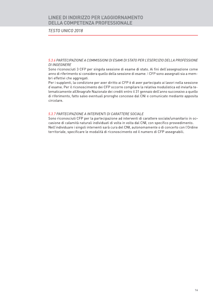### **TESTO UNICO 2018**

5.3.6 PARTECIPAZIONE A COMMISSIONI DI ESAMI DI STATO PER L'ESERCIZIO DELLA PROFESSIONE **DI INGEGNERE** 

Sono riconosciuti 3 CFP per singola sessione di esame di stato. Ai fini dell'assegnazione come anno di riferimento si considera quello della sessione di esame. I CFP sono assegnati sia a membri effettivi che aggregati.

Per i supplenti, la condizione per aver diritto ai CFP è di aver partecipato ai lavori nella sessione d'esame. Per il riconoscimento dei CFP occorre compilare la relativa modulistica ed inviarla telematicamente all'Anagrafe Nazionale dei crediti entro il 31 gennaio dell'anno successivo a quello di riferimento, fatto salvo eventuali proroghe concesse dal CNI e comunicate mediante apposita circolare.

### 5.3.7 PARTECIPAZIONE A INTERVENTI DI CARATTERE SOCIALE

Sono riconosciuti CFP per la partecipazione ad interventi di carattere sociale/umanitario in occasione di calamità naturali individuati di volta in volta dal CNI, con specifico provvedimento. Nell'individuare i singoli interventi sarà cura del CNI, autonomamente o di concerto con l'Ordine territoriale, specificare le modalità di riconoscimento ed il numero di CFP assegnabili.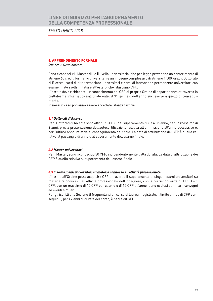**TESTO UNICO 2018** 

### **6. APPRENDIMENTO FORMALE**

(cfr. art. 6 Regolamento)

Sono riconosciuti i Master di I e II livello universitario (che per legge prevedono un conferimento di almeno 60 crediti formativi universitari e un impegno complessivo di almeno 1.500 ore), il Dottorato di Ricerca, corsi di alta formazione universitari e corsi di formazione permanente universitari con esame finale svolti in Italia e all'estero, che rilasciano CFU.

L'iscritto deve richiedere il riconoscimento dei CFP al proprio Ordine di appartenenza attraverso la piattaforma informatica nazionale entro il 31 gennaio dell'anno successivo a quello di conseguimento.

In nessun caso potranno essere accettate istanze tardive.

### 6.1 Dottorati di Ricerca

Per i Dottorati di Ricerca sono attribuiti 30 CFP al superamento di ciascun anno, per un massimo di 3 anni, previa presentazione dell'autocertificazione relativa all'ammissione all'anno successivo o, per l'ultimo anno, relativa al conseguimento del titolo. La data di attribuzione dei CFP è quella relativa al passaggio di anno o al superamento dell'esame finale.

### 6.2 Master universitari

Per i Master, sono riconosciuti 30 CFP, indipendentemente dalla durata. La data di attribuzione dei CFP è quella relativa al superamento dell'esame finale.

#### 6.3 Insegnamenti universitari su materie connesse all'attività professionale

L'iscritto all'Ordine potrà acquisire CFP attraverso il superamento di singoli esami universitari su materie riconducibili all'attività professionale dell'ingegnere, con la corrispondenza di 1 CFU = 1 CFP, con un massimo di 10 CFP per esame e di 15 CFP all'anno (sono esclusi seminari, convegni ed eventi similari).

Per gli iscritti alla Sezione B freguentanti un corso di laurea magistrale, il limite annuo di CFP conseguibili, per i 2 anni di durata del corso, è pari a 30 CFP.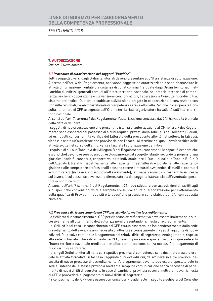**TESTO UNICO 2018** 

### 7. AUTORIZZAZIONE

(cfr. art. 7 Regolamento)

### 7.1 Procedura di autorizzazione dei soggetti "Provider"

Tutti i soggetti diversi dagli Ordini territoriali devono presentare al CNI un'istanza di autorizzazione. A norma dell'art. 4 del Regolamento, non vanno soggette ad autorizzazione e sono riconosciute le attività di formazione frontale o a distanza di cui al comma 1 erogate dagli Ordini territoriali, nell'ambito di indirizzi generali comuni all'intero territorio nazionale, nel proprio territorio di competenza, anche in cooperazione o convenzione con Fondazioni, Federazioni e Consulte riconducibili al sistema ordinistico. Qualora le suddette attività siano erogate in cooperazione o convenzione con Consulte regionali, l'ambito territoriale di competenza sarà quello della Regione in cui opera la Consulta. Il numero di CFP assegnato dall'Ordine territoriale organizzatore ha validità sull'intero territorio nazionale.

Ai sensi dell'art. 7, comma 4 del Regolamento, l'autorizzazione concessa dal CNI ha validità biennale dalla data di delibera.

I soggetti di nuova costituzione che presentino istanza di autorizzazione al CNI ex art. 7 del Regolamento sono esonerati dal possesso di alcuni requisiti previsti dalla Tabella B dell'Allegato B, quali, ad es., quelli concernenti la verifica del fatturato della precedente attività nel settore. In tali casi, viene rilasciata un'autorizzazione provvisoria per 12 mesi, al termine dei quali, previa verifica delle attività svolte nel corso dell'anno, verrà rilasciata l'autorizzazione definitiva.

I requisiti di cui alla Tabella A dell'Allegato B del Regolamento (concernenti le capacità economiche e giuridiche) devono essere posseduti esclusivamente dal soggetto istante, secondo la propria forma giuridica (società, consorzio, cooperativa, ditta individuale, ecc.). Quelli di cui alle Tabelle B, C e D dell'Allegato B (relativi, rispettivamente, alle capacità infrastrutturali e logistiche, alle capacità logistiche e alle competenze professionali) possono essere dimostrati avvalendosi di quelli di operatori economici terzi (in base al c.d. istituto dell'avvalimento), fatti salvi i requisiti concernenti la sicurezza sul lavoro, il cui possesso deve essere dimostrato sia dal soggetto istante, sia dall'eventuale operatore economico terzo.

Ai sensi dell'art. 7 comma 5 del Regolamento, il CNI può stipulare con associazioni di iscritti agli Albi specifiche convenzioni volte a semplificare le procedure di autorizzazione per l'ottenimento della qualifica di Provider. I requisiti e le specifiche procedure sono stabiliti dal CNI con apposita circolare

#### 7.2 Procedura di riconoscimento dei CFP per attività formative (accreditamento)

La richiesta di riconoscimento di CFP per ciascuna attività formativa deve essere inoltrata solo successivamente all'ottenimento dell'autorizzazione presentando richiesta di accreditamento:

- al CNI, ed in tal caso il riconoscimento dei CFP risulta essere valido indipendentemente dalla sede di svolgimento dell'evento, e non necessita di ulteriore riconoscimento in caso di aggiunta di nuove edizioni, fatto salvo comunque il pagamento dei relativi diritti di segreteria; Analogamente, rispetto alla sede dichiarata in fase di richiesta dei CFP, l'evento può essere spostato in qualunque sede sull'intero territorio nazionale mediante semplice comunicazione, senza necessità di pagamento di nuovi diritti di segreteria;

- ai singoli Ordini territoriali nelle cui rispettive province di competenza sono destinate a essere erogate le attività formative. In tal caso l'aggiunta di nuove edizioni, da svolgersi in altre province, necessita di nuovo processo di accreditamento. Analogamente, l'evento può essere spostato solo in sedi all'interno della stessa provincia mediante semplice comunicazione senza necessità di pagamento di nuovi diritti di segreteria. In caso di cambio di provincia occorre inoltrare nuova richiesta di CFP e provvedere al pagamento di nuovi diritti di segreteria.

Il riconoscimento dei CFP deve essere comunicato ai Provider solo in seguito a delibera del Consiglio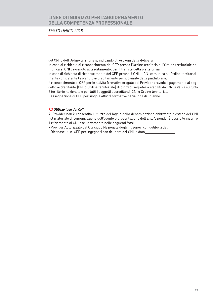**TESTO UNICO 2018** 

del CNI o dell'Ordine territoriale, indicando gli estremi della delibera.

In caso di richiesta di riconoscimento dei CFP presso l'Ordine territoriale, l'Ordine territoriale comunica al CNI l'avvenuto accreditamento, per il tramite della piattaforma.

In caso di richiesta di riconoscimento dei CFP presso il CNI, il CNI comunica all'Ordine territorialmente competente l'avvenuto accreditamento per il tramite della piattaforma.

Il riconoscimento di CFP per le attività formative erogate dai Provider prevede il pagamento al soggetto accreditante (CNI o Ordine territoriale) di diritti di segreteria stabiliti dal CNI e validi su tutto il territorio nazionale e per tutti i soggetti accreditanti (CNI o Ordine territoriale).

L'assegnazione di CFP per singole attività formative ha validità di un anno.

### 7.3 Utilizzo logo del CNI

Ai Provider non è consentito l'utilizzo del logo o della denominazione abbreviata o estesa del CNI nel materiale di comunicazione dell'evento o presentazione dell'Ente/azienda. È possibile inserire il riferimento al CNI esclusivamente nelle seguenti frasi:

- Provider Autorizzato dal Consiglio Nazionale degli Ingegneri con delibera del

- Riconosciuti n. CFP per Ingegneri con delibera del CNI in data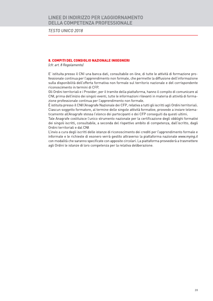**TESTO UNICO 2018** 

### 8. COMPITI DEL CONSIGLIO NAZIONALE INGEGNERI

(cfr. art. 8 Regolamento)

E' istituita presso il CNI una banca dati, consultabile on-line, di tutte le attività di formazione professionale continua per l'apprendimento non formale, che permette la diffusione dell'informazione sulla disponibilità dell'offerta formativa non formale sul territorio nazionale e del corrispondente riconoscimento in termini di CFP.

Gli Ordini territoriali e i Provider, per il tramite della piattaforma, hanno il compito di comunicare al CNI, prima dell'inizio dei singoli eventi, tutte le informazioni rilevanti in materia di attività di formazione professionale continua per l'apprendimento non formale.

È istituita presso il CNI l'Anagrafe Nazionale dei CFP, relativa a tutti gli iscritti agli Ordini territoriali. Ciascun soggetto formatore, al termine delle singole attività formative, provvede a inviare telematicamente all'Anagrafe stessa l'elenco dei partecipanti e dei CFP conseguiti da questi ultimi.

Tale Anagrafe costituisce l'unico strumento nazionale per la certificazione degli obblighi formativi dei singoli iscritti, consultabile, a seconda del rispettivo ambito di competenza, dall'iscritto, dagli Ordini territoriali e dal CNI.

L'invio a cura degli iscritti delle istanze di riconoscimento dei crediti per l'apprendimento formale e informale e le richieste di esonero verrà gestito attraverso la piattaforma nazionale www.mying.it con modalità che saranno specificate con apposite circolari. La piattaforma provvederà a trasmettere agli Ordini le istanze di loro competenza per la relativa deliberazione.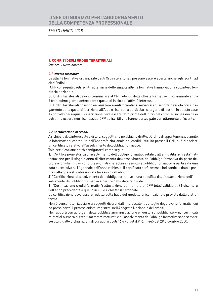**TESTO UNICO 2018** 

### 9. COMPITI DEGLI ORDINI TERRITORIALI

(cfr. art. 9 Regolamento)

### 9.1 Offerta formativa

Le attività formative organizzate dagli Ordini territoriali possono essere aperte anche agli iscritti ad altri Ordini.

I CFP consequiti dagli iscritti al termine delle singole attività formative hanno validità sull'intero territorio nazionale.

Gli Ordini territoriali devono comunicare al CNI l'elenco delle offerte formative programmate entro il trentesimo giorno antecedente quello di inizio dell'attività interessata.

Gli Ordini territoriali possono organizzare eventi formativi riservati ai soli iscritti in regola con il pagamento della quota di iscrizione all'Albo o riservati a particolari categorie di iscritti. In questo caso il controllo dei requisiti di iscrizione deve essere fatto prima dell'inizio del corso ed in nessun caso potranno essere non riconosciuti CFP ad iscritti che hanno partecipato correttamente all'evento.

### 9.2 Certificazione di crediti

A richiesta dell'interessato o di terzi soggetti che ne abbiano diritto, l'Ordine di appartenenza, tramite le informazioni contenute nell'Anagrafe Nazionale dei crediti, istituita presso il CNI, può rilasciare un certificato relativo all'assolvimento dell'obbligo formativo.

Tale certificazione potrà configurarsi come segue:

1) "Certificazione storica di assolvimento dell'obbligo formativo relativo all'annualità richiesta": attestazione per il singolo anno di riferimento dell'assolvimento dell'obbligo formativo da parte del professionista. In caso di professionisti che abbiano assolto all'obbligo formativo a partire da una data successiva al 1º gennaio dell'anno richiesto, il certificato sarà emesso indicando la data a partire dalla quale il professionista ha assolto all'obbligo.

2) "Certificazione di assolvimento dell'obbligo formativo a una specifica data": attestazione dell'assolvimento dell'obbligo formativo a partire dalla data richiesta.

3) "Certificazione crediti formativi": attestazione del numero di CFP totali validati al 31 dicembre dell'anno precedente a quello in cui è richiesto il certificato.

La certificazione deve essere redatta sulla base del modello unico nazionale previsto dalla piattaforma

Non è consentito rilasciare a soggetti diversi dall'interessato il dettaglio degli eventi formativi cui ha preso parte il professionista, registrati nell'Anagrafe Nazionale dei crediti.

Nei rapporti con gli organi della pubblica amministrazione e i gestori di pubblici servizi, i certificati relativi al numero di crediti formativi maturati e all'assolvimento dell'obbligo formativo sono sempre sostituiti dalle dichiarazioni di cui agli articoli 46 e 47 del d.P.R. n. 445 del 28 dicembre 2000.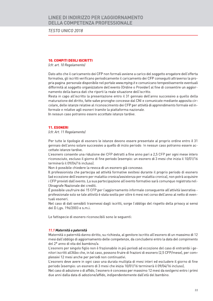**TESTO UNICO 2018** 

### **10. COMPITI DEGLI ISCRITTI**

(cfr. art. 10 Regolamento)

Dato atto che il caricamento dei CFP non formali avviene a carico del soggetto erogatore dell'offerta formativa, gli iscritti verificano periodicamente il caricamento dei CFP conseguiti attraverso la propria pagina personale disponibile nel portale www.mying.it e comunicano tempestivamente eventuali difformità al soggetto organizzatore dell'evento (Ordine o Provider) al fine di consentire un aggiornamento della banca dati che riporti la reale situazione dell'iscritto.

Resta in capo all'iscritto la presentazione entro il 31 gennaio dell'anno successivo a quello della maturazione del diritto, fatte salve proroghe concesse dal CNI e comunicate mediante apposita circolare, delle istanze relative al riconoscimento dei CFP per attività di apprendimento formale ed informale e relative agli esoneri tramite la piattaforma nazionale.

In nessun caso potranno essere accettate istanze tardive.

### **11. ESONERI**

(cfr. Art. 11 Regolamento)

Per tutte le tipologie di esonero le istanze devono essere presentate al proprio ordine entro il 31 gennaio dell'anno solare successivo a quello di inizio periodo. In nessun caso potranno essere accettate istanze tardive.

L'esonero consente una riduzione dei CFP detratti a fine anno pari a 2,5 CFP per ogni mese intero riconosciuto, escluso il giorno di fine periodo (esempio: un esonero di 3 mesi che inizia il 10/01/16 terminerà il 09/04/16 incluso).

Non è possibile chiedere la revoca di un esonero già concesso.

Il professionista che partecipa ad attività formative svoltesi durante il proprio periodo di esonero (ad eccezione dell'esonero per malattia cronica/assistenza per malattia cronica), non potrà acquisire i CFP previsti dall'evento. La sua partecipazione all'evento formativo sarà comunque registrata nell'Anagrafe Nazionale dei crediti.

È possibile usufruire dei 15 CFP per l'aggiornamento informale consequente all'attività lavorativa professionale solo se tale attività è stata svolta per oltre 6 mesi nel corso dell'anno al netto di eventuali esoneri.

Nel caso di dati sensibili trasmessi dagli iscritti, sorge l'obbligo del rispetto della privacy ai sensi del D.Lgs. 196/2003 e s.m.i.

Le fattispecie di esonero riconoscibili sono le seguenti:

#### 11.1 Maternità o paternità

Maternità o paternità danno diritto, su richiesta, al genitore iscritto all'esonero di un massimo di 12 mesi dall'obbligo di aggiornamento delle competenze, da concludersi entro la data del compimento del 2º anno di vita del bambino/a.

L'esonero per singolo figlio non è frazionabile in più periodi ad eccezione del caso di entrambi i genitori iscritti all'Albo che, in tal caso, possono fruire di frazioni di esonero (2,5 CFP/mese), per complessivi 12 mesi anche per periodi non continuativi.

L'esonero deve avere in ogni caso una durata multipla di mesi interi ed escludere il giorno di fine periodo (esempio: un esonero di 3 mesi che inizia 10/01/16 terminerà il 09/04/16 incluso).

Nel caso di adozione o di affido, l'esonero è concesso per massimo 12 mesi da svolgersi entro i primi due anni dalla data di adozione/affido, indipendentemente dall'età del bambino.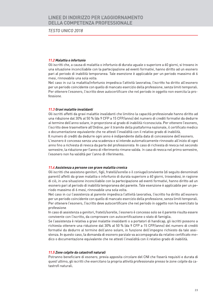**TESTO UNICO 2018** 

### 11.2 Malattia o infortunio

Gli iscritti che, a causa di malattia o infortunio di durata uguale o superiore a 60 giorni, si trovano in una situazione inconciliabile con la partecipazione ad eventi formativi, hanno diritto ad un esonero pari al periodo di inabilità temporanea. Tale esenzione è applicabile per un periodo massimo di 6 mesi, rinnovabile una sola volta.

Nel caso in cui la malattia/infortunio impedisca l'attività lavorativa, l'iscritto ha diritto all'esonero per un periodo coincidente con quello di mancato esercizio della professione, senza limiti temporali. Per ottenere l'esonero, l'iscritto deve autocertificare che nel periodo in oggetto non esercita la professione.

### 11.3 Gravi malattie invalidanti

Gli iscritti affetti da gravi malattie invalidanti che limitino la capacità professionale hanno diritto ad una riduzione dal 30% al 50 % (da 9 CFP a 15 CFP/anno) del numero di crediti formativi da dedurre al termine dell'anno solare, in proporzione al grado di inabilità riconosciuta. Per ottenere l'esonero, l'iscritto deve trasmettere all'Ordine, per il tramite della piattaforma nazionale, il certificato medico o documentazione equivalente che ne attesti l'invalidità con il relativo grado di inabilità.

Il numero di crediti da dedurre ogni anno è indipendente dalla data di concessione dell'esonero. L'esonero è concesso senza una scadenza e si intende automaticamente rinnovato all'inizio di ogni anno fino a richiesta di revoca da parte del professionista. In caso di richiesta di revoca nel secondo semestre, la riduzione per l'anno di riferimento rimane valida. In caso di revoca nel primo semestre, l'esonero non ha validità per l'anno di riferimento.

### 11.4 Assistenza a persone con grave malattia cronica

Gli iscritti che assistono genitori, figli, fratelli/sorelle o il coniuge/convivente (di seguito denominati parenti) affetti da grave malattia o infortunio di durata superiore a 60 giorni, trovandosi, in ragione di ciò, in una situazione inconciliabile con la partecipazione ad eventi formativi, hanno diritto ad un esonero pari al periodo di inabilità temporanea del parente. Tale esenzione è applicabile per un periodo massimo di 6 mesi, rinnovabile una sola volta.

Nel caso in cui l'assistenza al parente impedisca l'attività lavorativa, l'iscritto ha diritto all'esonero per un periodo coincidente con quello di mancato esercizio della professione, senza limiti temporali. Per ottenere l'esonero, l'iscritto deve autocertificare che nel periodo in oggetto non ha esercitato la professione.

In caso di assistenza a genitori, fratelli/sorelle, l'esonero è concesso solo se il parente risulta essere convivente con l'iscritto, da comprovare con autocertificazione o stato di famiglia.

Se l'assistenza è relativa a gravi malattie invalidanti o a portatori di handicap, gli iscritti possono a richiesta ottenere una riduzione dal 30% al 50 % (da 9 CFP a 15 CFP/anno) del numero di crediti formativi da dedurre al termine dell'anno solare, in funzione dell'impegno richiesto da tale assistenza. In questo caso, la domanda di esonero parziale va accompagnata da relativo certificato medico o documentazione equivalente che ne attesti l'invalidità con il relativo grado di inabilità.

### 11.5 Zone colpite da catastrofi naturali

Potranno beneficiare di esonero, previa apposita circolare del CNI che fisserà requisiti e durata di quest'ultimo, gli iscritti che esercitano la propria attività professionale presso le zone colpite da catastrofi naturali.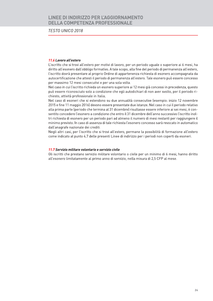**TESTO UNICO 2018** 

### 11.6 Lavoro all'estero

L'iscritto che si trovi all'estero per motivi di lavoro, per un periodo uguale o superiore ai 6 mesi, ha diritto all'esonero dall'obbligo formativo. A tale scopo, alla fine del periodo di permanenza all'estero, l'iscritto dovrà presentare al proprio Ordine di appartenenza richiesta di esonero accompagnata da autocertificazione che attesti il periodo di permanenza all'estero. Tale esonero può essere concesso per massimo 12 mesi consecutivi e per una sola volta.

Nel caso in cui l'iscritto richieda un esonero superiore ai 12 mesi già concessi in precedenza, questo può essere riconosciuto solo a condizione che egli autodichiari di non aver svolto, per il periodo richiesto, attività professionale in Italia.

Nel caso di esoneri che si estendono su due annualità consecutive (esempio: inizio 12 novembre 2015 e fine 11 maggio 2016) devono essere presentate due istanze. Nel caso in cui il periodo relativo alla prima parte (periodo che termina al 31 dicembre) risultasse essere inferiore ai sei mesi, è consentito concedere l'esonero a condizione che entro il 31 dicembre dell'anno successivo l'iscritto inoltri richiesta di esonero per un periodo pari ad almeno il numero di mesi restanti per raggiungere il minimo previsto. In caso di assenza di tale richiesta l'esonero concesso sarà revocato in automatico dall'anagrafe nazionale dei crediti.

Negli altri casi, per l'iscritto che si trovi all'estero, permane la possibilità di formazione all'estero come indicato al punto 4.7 delle presenti Linee di indirizzo per i periodi non coperti da esoneri.

### 11.7 Servizio militare volontario e servizio civile

Gli iscritti che prestano servizio militare volontario o civile per un minimo di 6 mesi, hanno diritto all'esonero limitatamente al primo anno di servizio, nella misura di 2,5 CFP al mese.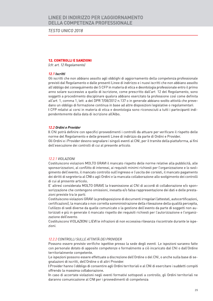**TESTO UNICO 2018** 

### **12. CONTROLLI E SANZIONI**

(cfr. art. 12 Regolamento)

### 12.1 Iscritti

Gli iscritti che non abbiano assolto agli obblighi di aggiornamento della competenza professionale previsti dal Regolamento e dalle presenti Linee di indirizzo e i nuovi iscritti che non abbiano assolto all'obbligo del conseguimento dei 5 CFP in materia di etica e deontologia professionale entro il primo anno solare successivo a quello di iscrizione, come prescritto dall'art. 12 del Regolamento, sono soggetti a procedimento disciplinare qualora abbiano esercitato la professione così come definita all'art. 1, comma 1, lett. a del DPR 7/08/2012 n.137 o in generale abbiano svolto attività che prevedano un obbligo di formazione continua in base ad altre disposizioni legislative o regolamentari. I CFP relativi ai corsi in materia di etica e deontologia sono riconosciuti a tutti i partecipanti indipendentemente dalla data di iscrizione all'Albo.

### 12.2 Ordini e Provider

Il CNI potrà definire con specifici provvedimenti i controlli da attuare per verificare il rispetto delle norme del Regolamento e delle presenti Linee di indirizzo da parte di Ordini e Provider. Gli Ordini e i Provider devono segnalare i singoli eventi al CNI, per il tramite della piattaforma, ai fini dell'esecuzione dei controlli di cui al presente articolo.

#### 12.2.1 VIOLAZIONI

Costituiscono violazioni MOLTO GRAVI il mancato rispetto delle norme relative alla pubblicità, alle sponsorizzazioni, al conflitto di interessi, ai requisiti minimi richiesti per l'organizzazione e lo svolgimento dell'evento, il mancato controllo sull'ingresso e l'uscita dei corsisti, il mancato pagamento dei diritti di segreteria al CNI o agli Ordini e la mancata collaborazione allo svolgimento dei controlli di cui al presente articolo.

E' altresì considerata MOLTO GRAVE la trasmissione al CNI di accordi di collaborazione e/o sponsorizzazione che contengono omissioni, inesatta e/o falsa rappresentazione dei dati e delle prestazioni previste tra le parti.

Costituiscono violazioni GRAVI la predisposizione di documenti irregolari (attestati, autocertificazioni, certificazioni), la mancata o non corretta somministrazione della rilevazione della qualità percepita, l'utilizzo di sedi diverse da quelle comunicate o la gestione dell'evento da parte di soggetti non autorizzati e più in generale il mancato rispetto dei requisiti richiesti per l'autorizzazione e l'organizzazione dell'evento.

Costituiscono VIOLAZIONI LIEVI le infrazioni di non eccessiva rilevanza riscontrate durante le ispezioni.

### 12.2.2 CONTROLLI SULLE ATTIVITÀ DEI PROVIDER

Possono essere previste verifiche ispettive presso la sede degli eventi. Le ispezioni saranno fatte con personale dotato di apposite competenze e formalmente a ciò incaricato dal CNI o dall'Ordine territorialmente competente.

Le ispezioni possono essere effettuate a discrezione dell'Ordine o del CNI, o anche sulla base di segnalazioni di iscritti, dell'Ordine o di altri Provider.

I Provider hanno l'obbligo di consentire agli Ordini territoriali e al CNI di esercitare i suddetti compiti offrendo la massima collaborazione.

In caso di accertate violazioni negli eventi formativi sottoposti a controllo, gli Ordini territoriali ne daranno comunicazione al CNI per i provvedimenti di competenza.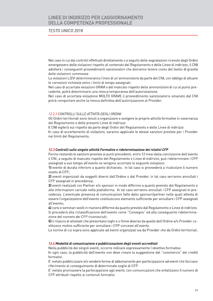### **TESTO UNICO 2018**

Nel caso in cui dai controlli effettuati direttamente o a seguito delle segnalazioni ricevute dagli Ordini emergessero delle violazioni rispetto al contenuto del Regolamento e delle Linee di indirizzo, il CNI adotterà i consequenti provvedimenti sanzionatori che dovranno tenere conto del livello di gravità delle violazioni commesse.

Le violazioni LIEVI determineranno l'invio di un'ammonizione da parte del CNI, con obbligo di attuare le correzioni richieste entro i limiti di tempo assegnati.

Nel caso di accertate violazioni GRAVI o del mancato rispetto delle ammonizioni di cui al punto precedente, potrà determinarsi una revoca temporanea dell'autorizzazione.

Nel caso di accertata violazione MOLTO GRAVE il provvedimento sanzionatorio emanato dal CNI potrà comportare anche la revoca definitiva dell'autorizzazione al Provider.

### 12.2.3 CONTROLLI SULLE ATTIVITÀ DEGLI ORDINI

Gli Ordini territoriali sono tenuti a organizzare e svolgere le proprie attività formative in osservanza del Regolamento e delle presenti Linee di indirizzo

Il CNI vigilerà sul rispetto da parte degli Ordini del Regolamento e delle Linee di indirizzo In caso di accertamento di violazioni, saranno applicate le stesse sanzioni previste per i Provider nei limiti del Regolamento.

### 12.3 Controlli sulle singole attività Formative e rideterminazione dei relativi CFP

Fermo restando le sanzioni previste ai punti precedenti, entro 12 mesi dalla conclusione dell'evento il CNI, a seguito di mancato rispetto del Regolamento e Linee di indirizzo, può rideterminare i CFP assegnati a suo tempo all'evento se vengono accertate le seguenti violazioni:

1) evento di durata inferiore a quanto dichiarato. In tal caso si provvederà a ricalcolare il numero esatto di CFP;

2) eventi organizzati da soggetti diversi dall'Ordine o dal Provider. In tal caso verranno annullati i CFP assegnati in precedenza;

3) eventi realizzati con Partner e/o sponsor in modo difforme a quanto previsto dal Regolamento e alle informazioni caricate nella piattaforma. In tal caso verranno annullati i CFP assegnati in precedenza. L'eventuale presenza di comunicazioni fatte dallo sponsor/partner nelle quali attesta di essere l'organizzatore dell'evento costituiscono elemento sufficiente per annullare i CFP assegnati all'evento:

4) corsi e seminari svolti in maniera difforme da quanto previsto dal Regolamento e Linee di indirizzo. Si procederà alla riclassificazione dell'evento come "Convegno" ed alla conseguente rideterminazione del numero dei CFP riconosciuti:

5) il rilascio di attestati che presentano loghi e o firme diverse da quelle dell'Ordine e/o Provider costituisce motivo sufficiente per annullare i CFP concessi all'evento.

Le norme di cui sopra sono applicate ad eventi organizzati sia da Provider che da Ordini territoriali.

### 12.4 Modalità di comunicazione e pubblicizzazione degli eventi accreditati

Nella pubblicità dei singoli eventi, occorre indicare espressamente l'obiettivo formativo.

In ogni caso, la pubblicità dell'evento non deve creare la suggestione del "commercio" dei crediti formativi.

E' vietato pubblicizzare e/o vendere forme di abbonamento per partecipazione ad eventi che facciano riferimento al conseguimento di determinate soglie di CFP.

E' vietato promuovere la partecipazione agli eventi, con comunicazioni che enfatizzano il numero di CFP attribuiti rispetto ai contenuti formativi.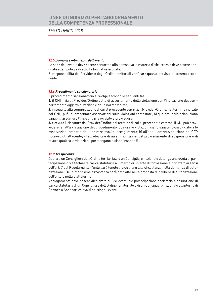### **TESTO UNICO 2018**

#### 12.5 Luogo di svolgimento dell'evento

La sede dell'evento deve essere conforme alla normativa in materia di sicurezza e deve essere adequata alla tipologia di attività formativa erogata.

E' responsabilità dei Provider e degli Ordini territoriali verificare quanto previsto al comma precedente.

#### 12.6 Procedimento sanzionatorio

Il procedimento sanzionatorio si svolge secondo le seguenti fasi:

1. il CNI invia al Provider/Ordine l'atto di accertamento della violazione con l'indicazione del comportamento oggetto di verifica e della norma violata;

2. in seguito alla comunicazione di cui al precedente comma, il Provider/Ordine, nel termine indicato dal CNI, può: a) presentare osservazioni sulle violazioni contestate; b) qualora le violazioni siano sanabili, assumere l'impegno irrevocabile a provvedere;

3. ricevuto il riscontro dal Provider/Ordine nel termine di cui al precedente comma, il CNI può provvedere: a) all'archiviazione del procedimento, qualora le violazioni siano sanate, ovvero qualora le osservazioni prodotte risultino meritevoli di accoglimento; b) all'annullamento/riduzione dei CFP riconosciuti all'evento; c) all'adozione di un'ammonizione, del provvedimento di sospensione o di revoca qualora le violazioni permangano o siano insanabili.

#### 12.7 Trasparenza

Qualora un Consigliere dell'Ordine territoriale o un Consigliere nazionale detenga una quota di partecipazione o sia titolare di carica statutaria all'interno di un ente di formazione autorizzato ai sensi dell'art. 7 del Regolamento, l'ente sarà tenuto a dichiarare tale circostanza nella domanda di autorizzazione. Della medesima circostanza sarà dato atto nella proposta di delibera di autorizzazione dell'ente e nella piattaforma.

Analogamente deve essere dichiarata al CNI eventuale partecipazione societaria o assunzione di carica statutaria di un Consigliere dell'Ordine territoriale o di un Consigliere nazionale all'interno di Partner o Sponsor coinvolti nei singoli eventi.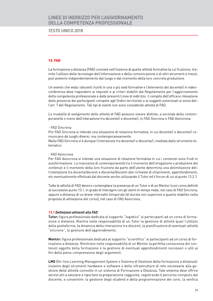### **TESTO UNICO 2018**

### **13. FAD**

La formazione a distanza (FAD) consiste nell'insieme di quelle attività formative la cui fruizione, tramite l'utilizzo delle tecnologie dell'informazione e della comunicazione e di altri strumenti e mezzi, può avvenire indipendentemente dal luogo e dal momento della loro concreta produzione.

Un evento che veda i discenti riuniti in una o più sedi formative e l'intervento del docente/i in videoconferenza deve rispondere ai requisiti e ai criteri stabiliti dal Regolamento per l'aggiornamento della competenza professionale e dalle presenti Linee di indirizzo. Il compito dell'efficace rilevazione delle presenze dei partecipanti compete agli Ordini territoriali e ai soggetti autorizzati ai sensi dell'art. 7 del Regolamento. Tali tipi di eventi non sono considerati attività di FAD.

Le modalità di svolgimento delle attività di FAD possono essere distinte, a seconda della contemporaneità o meno dell'interazione tra docente/i e discente/i, in FAD Sincrona e FAD Asincrona.

#### - FAD Sincrona

Per FAD Sincrona si intende una situazione di relazione formativa, in cui docente/i e discente/i comunicano da luoghi diversi, ma contemporaneamente.

Nella FAD Sincrona vi è dunque l'interazione tra docente/i e discente/i, mediata dallo strumento telematico.

### - FAD Asincrona

Per FAD Asincrona si intende una situazione di relazione formativa in cui i contenuti sono fruiti in autoformazione. La mancanza di contemporaneità tra il momento dell'erogazione o produzione dei contenuti e il momento della loro fruizione da parte dell'utente determina una delimitazione dell'interazione tra docente/docenti e discente/discenti alle richieste di chiarimenti, approfondimenti, etc eventualmente effettuati dal discente anche utilizzando il Tutor ed il forum di cui al punto 13.2.1.

Tutte le attività di FAD devono contemplare la presenza di un Tutor e di un Mentor (così come definiti al successivo punto 13.1, in grado di interagire con gli utenti in tempo reale, nel caso di FAD Sincrona, oppure a distanza di un breve intervallo temporale (di durata non superiore a quanto stabilito nella proposta di attivazione del corso), nel caso di FAD Asincrona.

#### 13.1 Definizioni attinenti alla FAD

Tutor: figura professionale dedicata al supporto "logistico" ai partecipanti ad un corso di formazione a distanza. Rientra nelle responsabilità di un Tutor la gestione di attività quali l'utilizzo della piattaforma, la dinamica della interazione tra discenti, la pianificazione di eventuali attività "sincrone", la gestione dell'apprendimento.

Mentor: figura professionale dedicata al supporto "scientifico" ai partecipanti ad un corso di formazione a distanza. Rientrano nelle responsabilità di un Mentor la perfetta conoscenza dei contenuti oggetto della formazione e la gestione di eventuali approfondimenti necessari o utili ai fini della piena comprensione degli argomenti.

LMS (On-line Learning Management System o Sistema di Gestione della formazione a distanza): insieme degli strumenti hardware e software e delle infrastrutture di rete necessarie alla gestione delle attività coinvolte in un sistema di Formazione a Distanza. Tale sistema deve offrire servizi atti a valutare e riportare la preparazione raggiunta, registrando il percorso compiuto dal discente, e consentire: la gestione degli studenti e della programmazione dei corsi, la verifica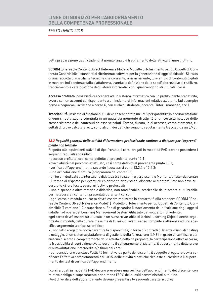**TESTO UNICO 2018** 

della preparazione degli studenti, il monitoraggio e tracciamento delle attività di questi ultimi.

**SCORM** (Shareable Content Object Reference Model o Modello di Riferimento per gli Oggetti di Contenuto Condivisibile): standard di riferimento software per la generazione di oggetti didattici. Si tratta di una raccolta di specifiche tecniche che consente, primariamente, lo scambio di contenuti digitali in maniera indipendente dalla piattaforma, tramite la definizione delle specifiche relative al riutilizzo, tracciamento e catalogazione degli atomi informativi con i quali vengono strutturati i corsi.

Accesso profilato: possibilità di accedere ad un sistema informatico con un profilo utente predefinito. ovvero con un account corrispondente a un insieme di informazioni relative all'utente (ad esempio: nome e cognome, iscrizione a corso X, con ruolo di studente, docente, Tutor, manager, ecc.).

Tracciabilità: insieme di funzioni di cui deve essere dotato un LMS per garantire la documentazione di ogni singola azione compiuta in un qualsiasi momento di attività di un corsista nell'uso dello stesso sistema e dei contenuti da esso veicolati. Tempo, durata, ip di accesso, completamento, risultati di prove calcolate, ecc. sono alcuni dei dati che vengono regolarmente tracciati da un LMS.

### 13.2 Requisiti generali delle attività di formazione professionale continua a distanza per l'apprendimento non formale

Rispetto alle equivalenti attività di tipo frontale, i corsi erogati in modalità FAD devono possedere i seguenti requisiti aggiuntivi:

- accesso profilato, così come definito al precedente punto 13.1;
- tracciabilità del percorso effettuato, così come definito al precedente punto 13.1;
- verifica dell'apprendimento secondo i successivi punti 13.2.2 e 13.2.3;
- una articolazione didattica (programma dei contenuti);

- un forum dedicato all'interazione didattica tra i discenti e tra discenti e Mentor e/o Tutor del corso:

- Il tempo di risposta per eventuali chiarimenti richiesti dal discente al Mentor/Tutor non deve superare le 48 ore (escluso giorni festivi e prefestivi);

- una dispensa o altro materiale didattico, non modificabile, scaricabile dal discente e utilizzabile per rielaborare i contenuti presentati durante il corso;

- ogni corso o modulo del corso dovrà essere realizzato in conformità allo standard SCORM "Shareable Content Object Reference Model" ("Modello di Riferimento per gli Oggetti di Contenuto Condivisibile") versione 1.2 o superiore al fine di garantire il tracciamento della fruizione degli oggetti didattici ad opera del Learning Management System utilizzato dal soggetto richiedente;

ogni corso dovrà essere strutturato in un numero variabile di lezioni (Learning Object), anche organizzate in moduli, della durata massima di 15 minuti, aventi senso compiuto e attinenza ad uno specifico argomento tecnico-scientifico:

- il soggetto erogatore dovrà garantire la disponibilità, in forza di contratti di licenza d'uso, di hosting o noleggio, di un sistema/piattaforma di gestione della formazione (LMS) in grado di certificare per ciascun discente il completamento delle attività didattiche proposte, la partecipazione attiva al corso, la tracciabilità di ogni azione svolta durante il collegamento al sistema, il superamento delle prove di autovalutazione intermedie e/o finali dei corsi;

- per considerare conclusa l'attività formativa da parte dei discenti, il soggetto erogatore dovrà verificare l'effettivo completamento del 100% delle attività didattiche richieste al corsista e il superamento dei test di verifica dell'apprendimento.

I corsi erogati in modalità FAD devono prevedere una verifica dell'apprendimento del discente, con relativo obbligo di superamento per almeno l'80% dei quesiti somministrati a tal fine. I test di verifica dell'apprendimento devono presentare le seguenti caratteristiche: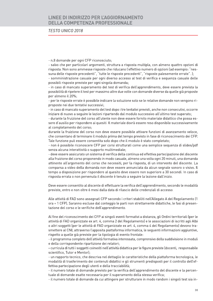### **TESTO UNICO 2018**

- n.8 domande per ogni CFP riconosciuto;

- salvo che per particolari argomenti, struttura a risposta multipla, con almeno quattro opzioni di risposta. Non sono ammesse risposte che riducano l'effettivo numero di opzioni (ad esempio: "nessuna delle risposte precedenti", "tutte le risposte precedenti", "risposte palesemente errate"..); - somministrazione casuale per ogni diverso accesso al test di verifica e sequenza casuale delle

possibili risposte previste per ogni singola domanda;

- in caso di mancato superamento del test di verifica dell'apprendimento, deve essere prevista la possibilità di ripetere il test per massimo altre due volte con domande diverse da quelle già proposte per almeno il 20%;

- per le risposte errate è possibile indicare la soluzione solo se le relative domande non vengono riproposte nei due tentativi successivi;

- in caso di mancato superamento del test dopo i tre tentativi previsti, anche non consecutivi, occorre iniziare di nuovo a seguire le lezioni ripartendo dal modulo successivo all'ultimo test superato;

- durante la fruizione del corso all'utente non deve essere fornito materiale didattico che possa essere d'ausilio per rispondere ai quesiti. Il materiale dovrà essere reso disponibile successivamente al completamento del corso:

durante la fruizione del corso non deve essere possibile attivare funzioni di avanzamento veloce, che consentano di terminare il modulo prima del tempo previsto in fase di riconoscimento dei CFP. Tale funzione può essere consentita solo dopo che il modulo è stato completato;

- non è possibile riconoscere CFP per corsi strutturati come una semplice sequenza di slides/pdf senza alcuna interattività o supporto multimediale;

- deve essere assicurato un sistema di verifica della continua ed effettiva partecipazione del discente alla fruizione del corso proponendo in modo casuale, almeno una volta ogni 20 minuti, una domanda attinente all'argomento del corso che necessiti, per la risposta, di un intervento del discente. La comparsa a video della domanda non deve essere annunciata da alcun segnale sonoro o visivo. Il tempo a disposizione per rispondere al quesito deve essere non superiore a 30 secondi. In caso di risposta errata o non pervenuta il discente è tenuto a seguire la lezione dall'inizio.

Deve essere consentito al discente di effettuare la verifica dell'apprendimento, secondo le modalità previste, entro e non oltre 6 mesi dalla data di rilascio delle credenziali di accesso.

Alle attività di FAD sono assegnati CFP secondo i criteri stabiliti nell'Allegato A del Regolamento (1 ora = 1 CFP). Saranno escluse dal conteggio le parti non strettamente didattiche, le fasi di presentazione del corso e le verifiche dell'apprendimento.

Al fine del riconoscimento dei CFP ai singoli eventi formativi a distanza, gli Ordini territoriali (per le attività di FAD organizzate ex art. 4, comma 2 del Regolamento) e le associazioni di iscritti agli Albi o altri soggetti (per le attività di FAD organizzate ex art. 4, comma 4 del Regolamento) devono trasmettere al CNI, attraverso l'apposita piattaforma informatica, le sequenti informazioni aggiuntive, rispetto a quelle già previste per la tipologia di evento frontale:

- il programma completo dell'attività formativa interessata, comprensivo della suddivisione in moduli e della corrispondente ripartizione dei relatori;

- curricula di tutti i soggetti coinvolti nell'attività didattica per le figure previste (docenti, responsabile scientifico, Tutor e Mentor);

- un rapporto tecnico, che descriva nel dettaglio le caratteristiche della piattaforma tecnologica, le modalità di trasferimento dei contenuti didattici e gli strumenti predisposti per il controllo dell'effettiva partecipazione degli utenti e della tracciabilità;

- il numero totale di domande previsto per la verifica dell'apprendimento del discente e la percentuale di domande esatte necessaria per il superamento della stessa verifica;

- il numero totale di domande da cui attingere per strutturare in modo random i singoli test sia in-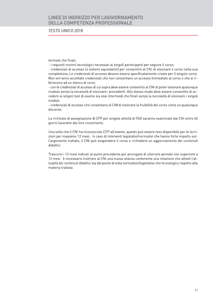### **TESTO UNICO 2018**

termedi che finali:

- i requisiti minimi tecnologici necessari ai singoli partecipanti per sequire il corso;

- credenziali di accesso (o sistemi equivalenti) per consentire al CNI di visionare il corso nella sua completezza, Le credenziali di accesso devono essere specificatamente create per il singolo corso. Non verranno accettate credenziali che non consentano un accesso immediato al corso o che si riferiscono ad un elenco di corsi:

- con le credenziali di accesso di cui sopra deve essere consentito al CNI di poter visionare qualunque modulo senza la necessità di visionare i precedenti. Allo stesso modo deve essere consentito di accedere ai singoli test di esame sia essi intermedi che finali senza la necessità di visionare i singoli moduli:

- credenziali di accesso che consentano al CNI di visionare la fruibilità del corso come un qualunque discente.

Le richieste di assegnazione di CFP per singole attività di FAD saranno esaminate dal CNI entro 40 giorni lavorativi dal loro ricevimento.

Una volta che il CNI ha riconosciuto CFP all'evento, questo può essere reso disponibile per le iscrizioni per massimo 12 mesi. In caso di interventi legislativi/normativi che hanno forte impatto sull'argomento trattato, il CNI può sospendere il corso e richiedere un aggiornamento dei contenuti didattici

Trascorsi i 12 mesi indicati al punto precedente per prorogare di ulteriore periodo non superiore a 12 mesi è necessario inoltrare al CNI una nuova istanza contenente una relazione che attesti l'attualità dei contenuti didattici sia dal punto di vista normativo/legislativo che tecnologico rispetto alla materia trattata.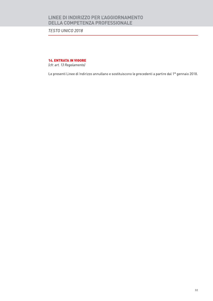TESTO UNICO 2018

**14. ENTRATA IN VIGORE** 

(cfr. art. 13 Regolamento)

Le presenti Linee di Indirizzo annullano e sostituiscono le precedenti a partire dal 1º gennaio 2018.